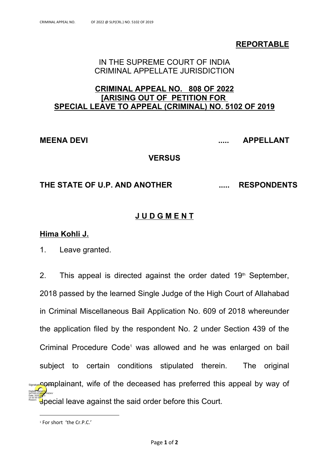**REPORTABLE**

## IN THE SUPREME COURT OF INDIA CRIMINAL APPELLATE JURISDICTION

## **CRIMINAL APPEAL NO. 808 OF 2022 [ARISING OUT OF PETITION FOR SPECIAL LEAVE TO APPEAL (CRIMINAL) NO. 5102 OF 2019**

**MEENA DEVI ..... APPELLANT**

## **VERSUS**

## **THE STATE OF U.P. AND ANOTHER ..... RESPONDENTS**

# **J U D G M E N T**

## **Hima Kohli J.**

1. Leave granted.

2. This appeal is directed against the order dated  $19<sup>th</sup>$  September, 2018 passed by the learned Single Judge of the High Court of Allahabad in Criminal Miscellaneous Bail Application No. 609 of 2018 whereunder the application filed by the respondent No. 2 under Section 439 of the Criminal Procedure Code<sup>1</sup> was allowed and he was enlarged on bail subject to certain conditions stipulated therein. The original ssangye COMplainant, wife of the deceased has preferred this appeal by way of special leave against the said order before this Court. Digitally signed by SATISH KUMAR YADAV Date: 2022.05.21 13:32:33 IST Reason:

<sup>1</sup> For short 'the Cr.P.C.'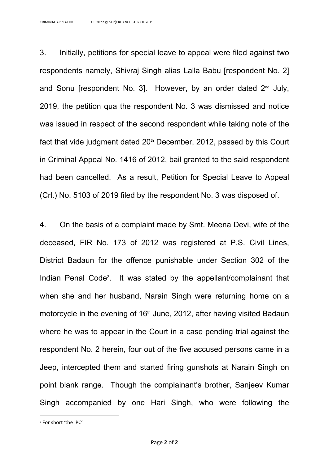3. Initially, petitions for special leave to appeal were filed against two respondents namely, Shivraj Singh alias Lalla Babu [respondent No. 2] and Sonu [respondent No. 3]. However, by an order dated 2 nd July, 2019, the petition qua the respondent No. 3 was dismissed and notice was issued in respect of the second respondent while taking note of the fact that vide judgment dated  $20<sup>th</sup>$  December, 2012, passed by this Court in Criminal Appeal No. 1416 of 2012, bail granted to the said respondent had been cancelled. As a result, Petition for Special Leave to Appeal (Crl.) No. 5103 of 2019 filed by the respondent No. 3 was disposed of.

4. On the basis of a complaint made by Smt. Meena Devi, wife of the deceased, FIR No. 173 of 2012 was registered at P.S. Civil Lines, District Badaun for the offence punishable under Section 302 of the Indian Penal Code<sup>2</sup> . It was stated by the appellant/complainant that when she and her husband, Narain Singh were returning home on a motorcycle in the evening of  $16<sup>th</sup>$  June, 2012, after having visited Badaun where he was to appear in the Court in a case pending trial against the respondent No. 2 herein, four out of the five accused persons came in a Jeep, intercepted them and started firing gunshots at Narain Singh on point blank range. Though the complainant's brother, Sanjeev Kumar Singh accompanied by one Hari Singh, who were following the

<sup>2</sup> For short 'the IPC'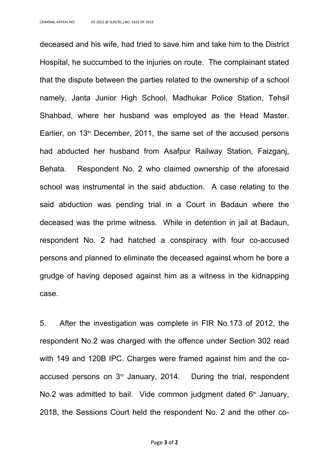deceased and his wife, had tried to save him and take him to the District Hospital, he succumbed to the injuries on route. The complainant stated that the dispute between the parties related to the ownership of a school namely, Janta Junior High School, Madhukar Police Station, Tehsil Shahbad, where her husband was employed as the Head Master. Earlier, on  $13<sup>th</sup>$  December, 2011, the same set of the accused persons had abducted her husband from Asafpur Railway Station, Faizganj, Behata. Respondent No. 2 who claimed ownership of the aforesaid school was instrumental in the said abduction. A case relating to the said abduction was pending trial in a Court in Badaun where the deceased was the prime witness. While in detention in jail at Badaun, respondent No. 2 had hatched a conspiracy with four co-accused persons and planned to eliminate the deceased against whom he bore a grudge of having deposed against him as a witness in the kidnapping case.

5. After the investigation was complete in FIR No.173 of 2012, the respondent No.2 was charged with the offence under Section 302 read with 149 and 120B IPC. Charges were framed against him and the coaccused persons on 3<sup>rd</sup> January, 2014. During the trial, respondent No.2 was admitted to bail. Vide common judgment dated 6<sup>th</sup> January, 2018, the Sessions Court held the respondent No. 2 and the other co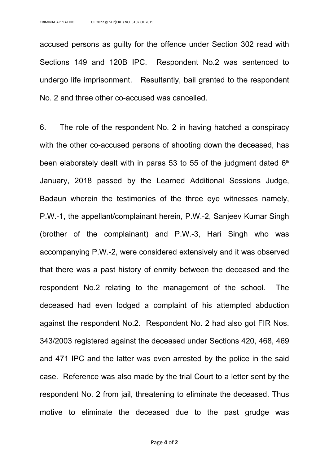accused persons as guilty for the offence under Section 302 read with Sections 149 and 120B IPC. Respondent No.2 was sentenced to undergo life imprisonment. Resultantly, bail granted to the respondent No. 2 and three other co-accused was cancelled.

6. The role of the respondent No. 2 in having hatched a conspiracy with the other co-accused persons of shooting down the deceased, has been elaborately dealt with in paras 53 to 55 of the judgment dated  $6<sup>th</sup>$ January, 2018 passed by the Learned Additional Sessions Judge, Badaun wherein the testimonies of the three eye witnesses namely, P.W.-1, the appellant/complainant herein, P.W.-2, Sanjeev Kumar Singh (brother of the complainant) and P.W.-3, Hari Singh who was accompanying P.W.-2, were considered extensively and it was observed that there was a past history of enmity between the deceased and the respondent No.2 relating to the management of the school. The deceased had even lodged a complaint of his attempted abduction against the respondent No.2. Respondent No. 2 had also got FIR Nos. 343/2003 registered against the deceased under Sections 420, 468, 469 and 471 IPC and the latter was even arrested by the police in the said case. Reference was also made by the trial Court to a letter sent by the respondent No. 2 from jail, threatening to eliminate the deceased. Thus motive to eliminate the deceased due to the past grudge was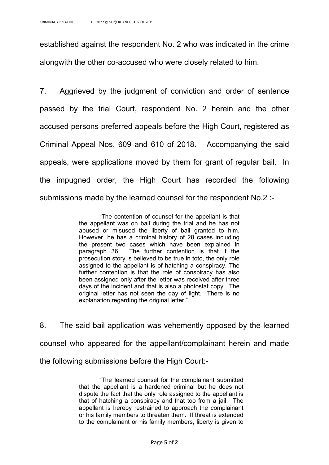established against the respondent No. 2 who was indicated in the crime alongwith the other co-accused who were closely related to him.

7. Aggrieved by the judgment of conviction and order of sentence passed by the trial Court, respondent No. 2 herein and the other accused persons preferred appeals before the High Court, registered as Criminal Appeal Nos. 609 and 610 of 2018. Accompanying the said appeals, were applications moved by them for grant of regular bail. In the impugned order, the High Court has recorded the following submissions made by the learned counsel for the respondent No.2 :-

> "The contention of counsel for the appellant is that the appellant was on bail during the trial and he has not abused or misused the liberty of bail granted to him. However, he has a criminal history of 28 cases including the present two cases which have been explained in paragraph 36. The further contention is that if the prosecution story is believed to be true in toto, the only role assigned to the appellant is of hatching a conspiracy. The further contention is that the role of conspiracy has also been assigned only after the letter was received after three days of the incident and that is also a photostat copy. The original letter has not seen the day of light. There is no explanation regarding the original letter."

8. The said bail application was vehemently opposed by the learned counsel who appeared for the appellant/complainant herein and made the following submissions before the High Court:-

> "The learned counsel for the complainant submitted that the appellant is a hardened criminal but he does not dispute the fact that the only role assigned to the appellant is that of hatching a conspiracy and that too from a jail. The appellant is hereby restrained to approach the complainant or his family members to threaten them. If threat is extended to the complainant or his family members, liberty is given to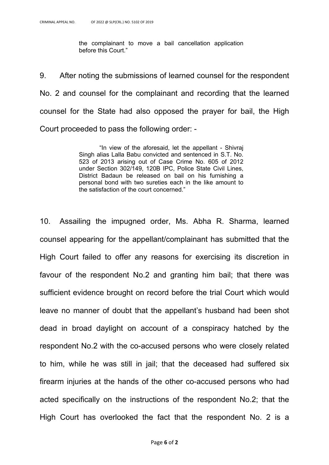the complainant to move a bail cancellation application before this Court."

9. After noting the submissions of learned counsel for the respondent No. 2 and counsel for the complainant and recording that the learned counsel for the State had also opposed the prayer for bail, the High Court proceeded to pass the following order: -

> "In view of the aforesaid, let the appellant - Shivraj Singh alias Lalla Babu convicted and sentenced in S.T. No. 523 of 2013 arising out of Case Crime No. 605 of 2012 under Section 302/149, 120B IPC, Police State Civil Lines, District Badaun be released on bail on his furnishing a personal bond with two sureties each in the like amount to the satisfaction of the court concerned."

10. Assailing the impugned order, Ms. Abha R. Sharma, learned counsel appearing for the appellant/complainant has submitted that the High Court failed to offer any reasons for exercising its discretion in favour of the respondent No.2 and granting him bail; that there was sufficient evidence brought on record before the trial Court which would leave no manner of doubt that the appellant's husband had been shot dead in broad daylight on account of a conspiracy hatched by the respondent No.2 with the co-accused persons who were closely related to him, while he was still in jail; that the deceased had suffered six firearm injuries at the hands of the other co-accused persons who had acted specifically on the instructions of the respondent No.2; that the High Court has overlooked the fact that the respondent No. 2 is a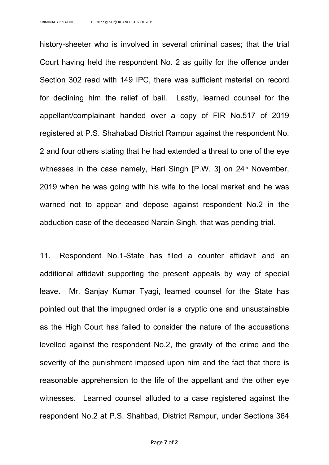history-sheeter who is involved in several criminal cases; that the trial Court having held the respondent No. 2 as guilty for the offence under Section 302 read with 149 IPC, there was sufficient material on record for declining him the relief of bail. Lastly, learned counsel for the appellant/complainant handed over a copy of FIR No.517 of 2019 registered at P.S. Shahabad District Rampur against the respondent No. 2 and four others stating that he had extended a threat to one of the eye witnesses in the case namely, Hari Singh  $[P.W. 3]$  on  $24<sup>th</sup>$  November, 2019 when he was going with his wife to the local market and he was warned not to appear and depose against respondent No.2 in the abduction case of the deceased Narain Singh, that was pending trial.

11. Respondent No.1-State has filed a counter affidavit and an additional affidavit supporting the present appeals by way of special leave. Mr. Sanjay Kumar Tyagi, learned counsel for the State has pointed out that the impugned order is a cryptic one and unsustainable as the High Court has failed to consider the nature of the accusations levelled against the respondent No.2, the gravity of the crime and the severity of the punishment imposed upon him and the fact that there is reasonable apprehension to the life of the appellant and the other eye witnesses. Learned counsel alluded to a case registered against the respondent No.2 at P.S. Shahbad, District Rampur, under Sections 364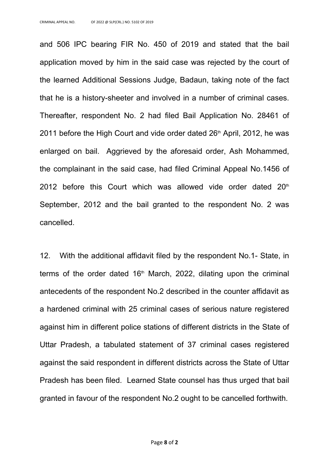and 506 IPC bearing FIR No. 450 of 2019 and stated that the bail application moved by him in the said case was rejected by the court of the learned Additional Sessions Judge, Badaun, taking note of the fact that he is a history-sheeter and involved in a number of criminal cases. Thereafter, respondent No. 2 had filed Bail Application No. 28461 of 2011 before the High Court and vide order dated  $26<sup>th</sup>$  April, 2012, he was enlarged on bail. Aggrieved by the aforesaid order, Ash Mohammed, the complainant in the said case, had filed Criminal Appeal No.1456 of 2012 before this Court which was allowed vide order dated  $20<sup>th</sup>$ September, 2012 and the bail granted to the respondent No. 2 was cancelled.

12. With the additional affidavit filed by the respondent No.1- State, in terms of the order dated  $16<sup>th</sup>$  March, 2022, dilating upon the criminal antecedents of the respondent No.2 described in the counter affidavit as a hardened criminal with 25 criminal cases of serious nature registered against him in different police stations of different districts in the State of Uttar Pradesh, a tabulated statement of 37 criminal cases registered against the said respondent in different districts across the State of Uttar Pradesh has been filed. Learned State counsel has thus urged that bail granted in favour of the respondent No.2 ought to be cancelled forthwith.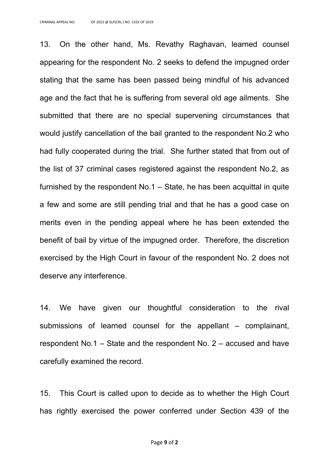13. On the other hand, Ms. Revathy Raghavan, learned counsel appearing for the respondent No. 2 seeks to defend the impugned order stating that the same has been passed being mindful of his advanced age and the fact that he is suffering from several old age ailments. She submitted that there are no special supervening circumstances that would justify cancellation of the bail granted to the respondent No.2 who had fully cooperated during the trial. She further stated that from out of the list of 37 criminal cases registered against the respondent No.2, as furnished by the respondent No.1 – State, he has been acquittal in quite a few and some are still pending trial and that he has a good case on merits even in the pending appeal where he has been extended the benefit of bail by virtue of the impugned order. Therefore, the discretion exercised by the High Court in favour of the respondent No. 2 does not deserve any interference.

14. We have given our thoughtful consideration to the rival submissions of learned counsel for the appellant – complainant, respondent No.1 – State and the respondent No. 2 – accused and have carefully examined the record.

15. This Court is called upon to decide as to whether the High Court has rightly exercised the power conferred under Section 439 of the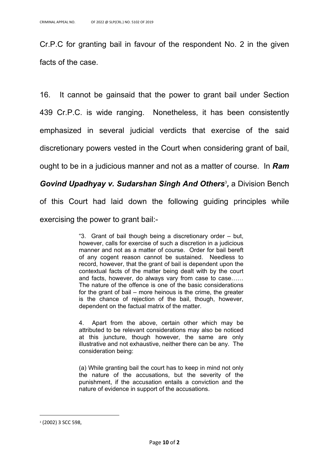Cr.P.C for granting bail in favour of the respondent No. 2 in the given facts of the case.

16. It cannot be gainsaid that the power to grant bail under Section 439 Cr.P.C. is wide ranging. Nonetheless, it has been consistently emphasized in several judicial verdicts that exercise of the said discretionary powers vested in the Court when considering grant of bail, ought to be in a judicious manner and not as a matter of course. In *Ram* 

## *Govind Upadhyay v. Sudarshan Singh And Others*<sup>3</sup> *,* a Division Bench

of this Court had laid down the following guiding principles while exercising the power to grant bail:-

> "3. Grant of bail though being a discretionary order – but, however, calls for exercise of such a discretion in a judicious manner and not as a matter of course. Order for bail bereft of any cogent reason cannot be sustained. Needless to record, however, that the grant of bail is dependent upon the contextual facts of the matter being dealt with by the court and facts, however, do always vary from case to case…… The nature of the offence is one of the basic considerations for the grant of bail – more heinous is the crime, the greater is the chance of rejection of the bail, though, however, dependent on the factual matrix of the matter.

> 4. Apart from the above, certain other which may be attributed to be relevant considerations may also be noticed at this juncture, though however, the same are only illustrative and not exhaustive, neither there can be any. The consideration being:

> (a) While granting bail the court has to keep in mind not only the nature of the accusations, but the severity of the punishment, if the accusation entails a conviction and the nature of evidence in support of the accusations.

<sup>3</sup> (2002) 3 SCC 598,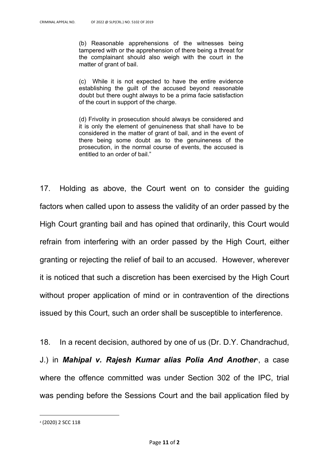(b) Reasonable apprehensions of the witnesses being tampered with or the apprehension of there being a threat for the complainant should also weigh with the court in the matter of grant of bail.

(c) While it is not expected to have the entire evidence establishing the guilt of the accused beyond reasonable doubt but there ought always to be a prima facie satisfaction of the court in support of the charge.

(d) Frivolity in prosecution should always be considered and it is only the element of genuineness that shall have to be considered in the matter of grant of bail, and in the event of there being some doubt as to the genuineness of the prosecution, in the normal course of events, the accused is entitled to an order of bail."

17. Holding as above, the Court went on to consider the guiding factors when called upon to assess the validity of an order passed by the High Court granting bail and has opined that ordinarily, this Court would refrain from interfering with an order passed by the High Court, either granting or rejecting the relief of bail to an accused. However, wherever it is noticed that such a discretion has been exercised by the High Court without proper application of mind or in contravention of the directions issued by this Court, such an order shall be susceptible to interference.

18. In a recent decision, authored by one of us (Dr. D.Y. Chandrachud, J.) in *Mahipal v. Rajesh Kumar alias Polia And Another*4, a case where the offence committed was under Section 302 of the IPC, trial was pending before the Sessions Court and the bail application filed by

<sup>4</sup> (2020) 2 SCC 118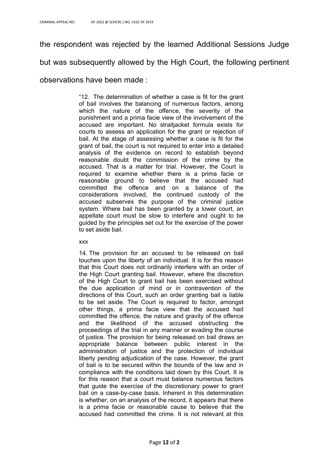the respondent was rejected by the learned Additional Sessions Judge

but was subsequently allowed by the High Court, the following pertinent

### observations have been made :

"12. The determination of whether a case is fit for the grant of bail involves the balancing of numerous factors, among which the nature of the offence, the severity of the punishment and a prima facie view of the involvement of the accused are important. No straitjacket formula exists for courts to assess an application for the grant or rejection of bail. At the stage of assessing whether a case is fit for the grant of bail, the court is not required to enter into a detailed analysis of the evidence on record to establish beyond reasonable doubt the commission of the crime by the accused. That is a matter for trial. However, the Court is required to examine whether there is a prima facie or reasonable ground to believe that the accused had committed the offence and on a balance of the considerations involved, the continued custody of the accused subserves the purpose of the criminal justice system. Where bail has been granted by a lower court, an appellate court must be slow to interfere and ought to be guided by the principles set out for the exercise of the power to set aside bail.

#### xxx

14. The provision for an accused to be released on bail touches upon the liberty of an individual. It is for this reason that this Court does not ordinarily interfere with an order of the High Court granting bail. However, where the discretion of the High Court to grant bail has been exercised without the due application of mind or in contravention of the directions of this Court, such an order granting bail is liable to be set aside. The Court is required to factor, amongst other things, a prima facie view that the accused had committed the offence, the nature and gravity of the offence and the likelihood of the accused obstructing the proceedings of the trial in any manner or evading the course of justice. The provision for being released on bail draws an appropriate balance between public interest in the administration of justice and the protection of individual liberty pending adjudication of the case. However, the grant of bail is to be secured within the bounds of the law and in compliance with the conditions laid down by this Court. It is for this reason that a court must balance numerous factors that guide the exercise of the discretionary power to grant bail on a case-by-case basis. Inherent in this determination is whether, on an analysis of the record, it appears that there is a prima facie or reasonable cause to believe that the accused had committed the crime. It is not relevant at this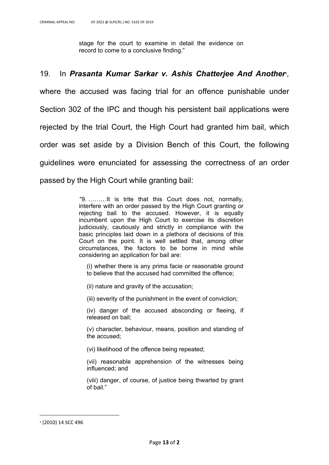stage for the court to examine in detail the evidence on record to come to a conclusive finding."

## 19. In *Prasanta Kumar Sarkar v. Ashis Chatterjee And Another*5*,*

where the accused was facing trial for an offence punishable under Section 302 of the IPC and though his persistent bail applications were rejected by the trial Court, the High Court had granted him bail, which order was set aside by a Division Bench of this Court, the following guidelines were enunciated for assessing the correctness of an order passed by the High Court while granting bail:

> "9. ………It is trite that this Court does not, normally, interfere with an order passed by the High Court granting or rejecting bail to the accused. However, it is equally incumbent upon the High Court to exercise its discretion judiciously, cautiously and strictly in compliance with the basic principles laid down in a plethora of decisions of this Court on the point. It is well settled that, among other circumstances, the factors to be borne in mind while considering an application for bail are:

(i) whether there is any prima facie or reasonable ground to believe that the accused had committed the offence;

(ii) nature and gravity of the accusation;

(iii) severity of the punishment in the event of conviction;

(iv) danger of the accused absconding or fleeing, if released on bail;

(v) character, behaviour, means, position and standing of the accused;

(vi) likelihood of the offence being repeated;

(vii) reasonable apprehension of the witnesses being influenced; and

(viii) danger, of course, of justice being thwarted by grant of bail."

<sup>5</sup> (2010) 14 SCC 496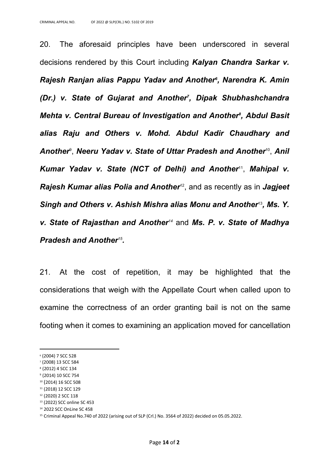20. The aforesaid principles have been underscored in several decisions rendered by this Court including *Kalyan Chandra Sarkar v. Rajesh Ranjan alias Pappu Yadav and Another<sup>6</sup> , Narendra K. Amin (Dr.) v. State of Gujarat and Another<sup>7</sup> , Dipak Shubhashchandra Mehta v. Central Bureau of Investigation and Another<sup>8</sup> , Abdul Basit alias Raju and Others v. Mohd. Abdul Kadir Chaudhary and Another*<sup>9</sup> , *Neeru Yadav v. State of Uttar Pradesh and Another*<sup>10</sup> , *Anil Kumar Yadav v. State (NCT of Delhi) and Another*<sup>11</sup> , *Mahipal v. Rajesh Kumar alias Polia and Another*<sup>12</sup> , and as recently as in *Jagjeet Singh and Others v. Ashish Mishra alias Monu and Another*<sup>13</sup> *, Ms. Y. v. State of Rajasthan and Another<sup>14</sup>* and *Ms. P. v. State of Madhya Pradesh and Another<sup>15</sup> .*

21. At the cost of repetition, it may be highlighted that the considerations that weigh with the Appellate Court when called upon to examine the correctness of an order granting bail is not on the same footing when it comes to examining an application moved for cancellation

<sup>6</sup> (2004) 7 SCC 528

<sup>7</sup> (2008) 13 SCC 584

<sup>8</sup> (2012) 4 SCC 134

<sup>9</sup> (2014) 10 SCC 754

<sup>10</sup> (2014) 16 SCC 508 <sup>11</sup> (2018) 12 SCC 129

<sup>12</sup> (2020) 2 SCC 118

<sup>13</sup> (2022) SCC online SC 453

<sup>14</sup> 2022 SCC OnLine SC 458

<sup>&</sup>lt;sup>15</sup> Criminal Appeal No.740 of 2022 (arising out of SLP (Crl.) No. 3564 of 2022) decided on 05.05.2022.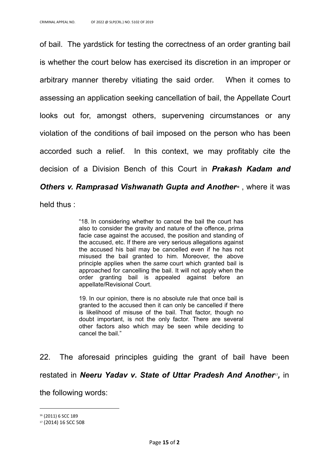of bail. The yardstick for testing the correctness of an order granting bail is whether the court below has exercised its discretion in an improper or arbitrary manner thereby vitiating the said order. When it comes to assessing an application seeking cancellation of bail, the Appellate Court looks out for, amongst others, supervening circumstances or any violation of the conditions of bail imposed on the person who has been accorded such a relief. In this context, we may profitably cite the decision of a Division Bench of this Court in *Prakash Kadam and Others v. Ramprasad Vishwanath Gupta and Another<sup>®</sup>, where it was* 

held thus :

"18. In considering whether to cancel the bail the court has also to consider the gravity and nature of the offence, prima facie case against the accused, the position and standing of the accused, etc. If there are very serious allegations against the accused his bail may be cancelled even if he has not misused the bail granted to him. Moreover, the above principle applies when the *same* court which granted bail is approached for cancelling the bail. It will not apply when the order granting bail is appealed against before an appellate/Revisional Court.

19. In our opinion, there is no absolute rule that once bail is granted to the accused then it can only be cancelled if there is likelihood of misuse of the bail. That factor, though no doubt important, is not the only factor. There are several other factors also which may be seen while deciding to cancel the bail."

22. The aforesaid principles guiding the grant of bail have been restated in *Neeru Yadav v. State of Uttar Pradesh And Another<sup>17</sup>, in* the following words:

<sup>&</sup>lt;sup>16</sup> (2011) 6 SCC 189

<sup>17</sup> (2014) 16 SCC 508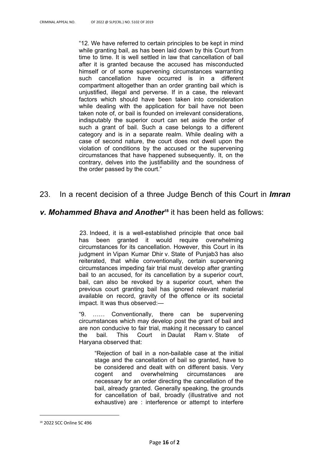"12. We have referred to certain principles to be kept in mind while granting bail, as has been laid down by this Court from time to time. It is well settled in law that cancellation of bail after it is granted because the accused has misconducted himself or of some supervening circumstances warranting such cancellation have occurred is in a different compartment altogether than an order granting bail which is unjustified, illegal and perverse. If in a case, the relevant factors which should have been taken into consideration while dealing with the application for bail have not been taken note of, or bail is founded on irrelevant considerations, indisputably the superior court can set aside the order of such a grant of bail. Such a case belongs to a different category and is in a separate realm. While dealing with a case of second nature, the court does not dwell upon the violation of conditions by the accused or the supervening circumstances that have happened subsequently. It, on the contrary, delves into the justifiability and the soundness of the order passed by the court."

## 23. In a recent decision of a three Judge Bench of this Court in *Imran*

#### *v. Mohammed Bhava and Another***18** it has been held as follows:

23. Indeed, it is a well-established principle that once bail has been granted it would require overwhelming circumstances for its cancellation. However, this Court in its judgment in Vipan Kumar Dhir v. State of Punjab[3](https://www.scconline.com/Members/SearchResult.aspx) has also reiterated, that while conventionally, certain supervening circumstances impeding fair trial must develop after granting bail to an accused, for its cancellation by a superior court, bail, can also be revoked by a superior court, when the previous court granting bail has ignored relevant material available on record, gravity of the offence or its societal impact. It was thus observed:—

"9. …… Conventionally, there can be supervening circumstances which may develop post the grant of bail and are non conducive to fair trial, making it necessary to cancel the bail. This Court in Daulat Ram v. State of Haryana observed that:

"Rejection of bail in a non-bailable case at the initial stage and the cancellation of bail so granted, have to be considered and dealt with on different basis. Very cogent and overwhelming circumstances are necessary for an order directing the cancellation of the bail, already granted. Generally speaking, the grounds for cancellation of bail, broadly (illustrative and not exhaustive) are : interference or attempt to interfere

<sup>18</sup> 2022 SCC Online SC 496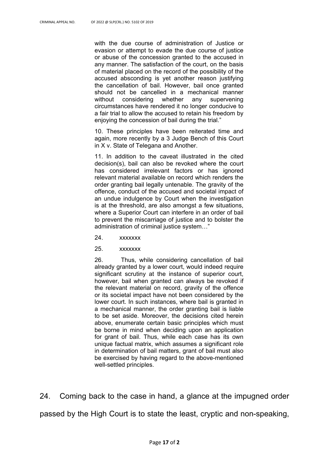with the due course of administration of Justice or evasion or attempt to evade the due course of justice or abuse of the concession granted to the accused in any manner. The satisfaction of the court, on the basis of material placed on the record of the possibility of the accused absconding is yet another reason justifying the cancellation of bail. However, bail once granted should not be cancelled in a mechanical manner without considering whether any supervening circumstances have rendered it no longer conducive to a fair trial to allow the accused to retain his freedom by enjoying the concession of bail during the trial."

10. These principles have been reiterated time and again, more recently by a 3 Judge Bench of this Court in X v. State of Telegana and Another.

11. In addition to the caveat illustrated in the cited decision(s), bail can also be revoked where the court has considered irrelevant factors or has ignored relevant material available on record which renders the order granting bail legally untenable. The gravity of the offence, conduct of the accused and societal impact of an undue indulgence by Court when the investigation is at the threshold, are also amongst a few situations, where a Superior Court can interfere in an order of bail to prevent the miscarriage of justice and to bolster the administration of criminal justice system…"

- 24. xxxxxxx
- 25. xxxxxxx

26. Thus, while considering cancellation of bail already granted by a lower court, would indeed require significant scrutiny at the instance of superior court, however, bail when granted can always be revoked if the relevant material on record, gravity of the offence or its societal impact have not been considered by the lower court. In such instances, where bail is granted in a mechanical manner, the order granting bail is liable to be set aside. Moreover, the decisions cited herein above, enumerate certain basic principles which must be borne in mind when deciding upon an application for grant of bail. Thus, while each case has its own unique factual matrix, which assumes a significant role in determination of bail matters, grant of bail must also be exercised by having regard to the above-mentioned well-settled principles.

24. Coming back to the case in hand, a glance at the impugned order passed by the High Court is to state the least, cryptic and non-speaking,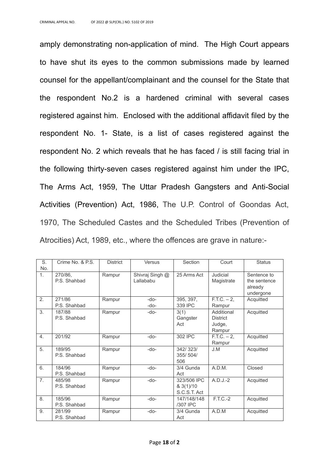amply demonstrating non-application of mind. The High Court appears to have shut its eyes to the common submissions made by learned counsel for the appellant/complainant and the counsel for the State that the respondent No.2 is a hardened criminal with several cases registered against him. Enclosed with the additional affidavit filed by the respondent No. 1- State, is a list of cases registered against the respondent No. 2 which reveals that he has faced / is still facing trial in the following thirty-seven cases registered against him under the IPC, The Arms Act, 1959, The Uttar Pradesh Gangsters and Anti-Social Activities (Prevention) Act, 1986, The U.P. Control of Goondas Act, 1970, The Scheduled Castes and the Scheduled Tribes (Prevention of Atrocities) Act, 1989, etc., where the offences are grave in nature:-

| S.<br>No.        | Crime No. & P.S.        | <b>District</b> | <b>Versus</b>                | Section                                            | Court                                             | <b>Status</b>                                       |
|------------------|-------------------------|-----------------|------------------------------|----------------------------------------------------|---------------------------------------------------|-----------------------------------------------------|
| 1.               | 270/86,<br>P.S. Shahbad | Rampur          | Shivraj Singh @<br>Lallababu | 25 Arms Act                                        | Judicial<br>Magistrate                            | Sentence to<br>the sentence<br>already<br>undergone |
| $\overline{2}$ . | 271/86<br>P.S. Shahbad  | Rampur          | -do-<br>-do-                 | 395, 397,<br>339 IPC                               | $F.T.C. - 2,$<br>Rampur                           | Acquitted                                           |
| 3.               | 187/88<br>P.S. Shahbad  | Rampur          | -do-                         | 3(1)<br>Gangster<br>Act                            | Additional<br><b>District</b><br>Judge,<br>Rampur | Acquitted                                           |
| 4.               | 201/92                  | Rampur          | -do-                         | 302 IPC                                            | $F.T.C. - 2,$<br>Rampur                           | Acquitted                                           |
| 5.               | 189/95<br>P.S. Shahbad  | Rampur          | -do-                         | 342/323/<br>355/504/<br>506                        | J.M                                               | Acquitted                                           |
| 6.               | 184/96<br>P.S. Shahbad  | Rampur          | -do-                         | 3/4 Gunda<br>Act                                   | A.D.M.                                            | Closed                                              |
| 7.               | 485/98<br>P.S. Shahbad  | Rampur          | -do-                         | 323/506 IPC<br>$8 \frac{3(1)}{10}$<br>S.C.S.T. Act | $A.D.J.-2$                                        | Acquitted                                           |
| 8.               | 185/96<br>P.S. Shahbad  | Rampur          | -do-                         | 147/148/148<br>/307 IPC                            | F.T.C.-2                                          | Acquitted                                           |
| 9.               | 281/99<br>P.S. Shahbad  | Rampur          | -do-                         | 3/4 Gunda<br>Act                                   | A.D.M                                             | Acquitted                                           |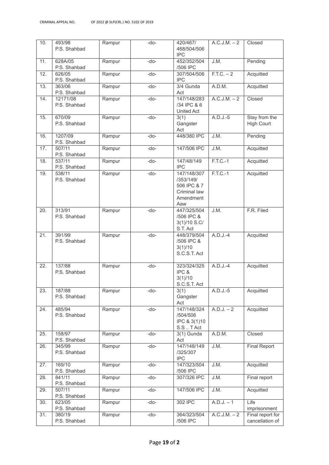| 10.               | 493/98<br>P.S. Shahbad   | Rampur | -do- | 420/467/<br>468/504/506                                                     | A.C.J.M. – 2            | Closed                              |
|-------------------|--------------------------|--------|------|-----------------------------------------------------------------------------|-------------------------|-------------------------------------|
| 11.               | 628A/05                  | Rampur | -do- | <b>IPC</b><br>452/352/504                                                   | J.M.                    | Pending                             |
| 12.               | P.S. Shahbad<br>626/05   | Rampur | -do- | /506 IPC<br>307/504/506                                                     | $\overline{F.T.C. - 2}$ | Acquitted                           |
| 13.               | P.S. Shahbad<br>363/06   | Rampur | -do- | <b>IPC</b><br>3/4 Gunda                                                     | A.D.M.                  | Acquitted                           |
| 14.               | P.S. Shahbad<br>12171/08 | Rampur | -do- | Act<br>147/148/283                                                          | A.C.J.M. – 2            | Closed                              |
|                   | P.S. Shahbad             |        |      | /34 IPC & 6<br>United Act                                                   |                         |                                     |
| 15.               | 670/09<br>P.S. Shahbad   | Rampur | -do- | 3(1)<br>Gangster<br>Act                                                     | $A.D.J.-5$              | Stay from the<br><b>High Court</b>  |
| 16.               | 1207/09<br>P.S. Shahbad  | Rampur | -do- | 448/380 IPC                                                                 | J.M.                    | Pending                             |
| 17.               | 507/11<br>P.S. Shahbad   | Rampur | -do- | 147/506 IPC                                                                 | J.M.                    | Acquitted                           |
| 18.               | 537/11<br>P.S. Shahbad   | Rampur | -do- | 147/48/149<br><b>IPC</b>                                                    | $F.T.C.-1$              | Acquitted                           |
| 19.               | 538/11<br>P.S. Shahbad   | Rampur | -do- | 147/148/307<br>/353/149/<br>506 IPC & 7<br>Criminal law<br>Amendment<br>Aaw | $F.T.C.-1$              | Acquitted                           |
| 20.               | 313/91<br>P.S. Shahbad   | Rampur | -do- | 447/325/504<br>/506 IPC &<br>3(1)/10 S.C/<br>S.T. Act                       | J.M.                    | F.R. Filed                          |
| 21.               | 391/99<br>P.S. Shahbad   | Rampur | -do- | 448/379/504<br>/506 IPC &<br>3(1)/10<br>S.C.S.T. Act                        | $A.D.J.-4$              | Acquitted                           |
| $\overline{22}$ . | 137/88<br>P.S. Shahbad   | Rampur | -do- | 323/324/325<br>IPC &<br>3(1)/10<br>S.C.S.T. Act                             | $A.D.J.-4$              | Acquitted                           |
| 23.               | 187/88<br>P.S. Shahbad   | Rampur | -do- | 3(1)<br>Gangster<br>Act                                                     | $A.D.J.-5$              | Acquitted                           |
| 24.               | 485/94<br>P.S. Shahbad   | Rampur | -do- | 147/148/324<br>/504/506<br>IPC & 3(1)10<br>S.STAct                          | A.D.J. – 2              | Acquitted                           |
| 25.               | 158/97<br>P.S. Shahbad   | Rampur | -do- | $3(1)$ Gunda<br>Act                                                         | A.D.M.                  | Closed                              |
| 26.               | 345/99<br>P.S. Shahbad   | Rampur | -do- | 147/148/149<br>/325/307<br><b>IPC</b>                                       | J.M.                    | <b>Final Report</b>                 |
| 27.               | 169/10<br>P.S. Shahbad   | Rampur | -do- | 147/323/504<br>/506 IPC                                                     | J.M.                    | Acquitted                           |
| 28.               | 841/11<br>P.S. Shahbad   | Rampur | -do- | 307/326 IPC                                                                 | J.M.                    | Final report                        |
| 29.               | 507/11<br>P.S. Shahbad   | Rampur | -do- | 147/506 IPC                                                                 | J.M.                    | Acquitted                           |
| 30.               | 623/05<br>P.S. Shahbad   | Rampur | -do- | 302 IPC                                                                     | $A.D.J. - 1$            | Life<br>imprisonment                |
| 31.               | 380/19<br>P.S. Shahbad   | Rampur | -do- | 364/323/504<br>/506 IPC                                                     | A.C.J.M. – 2            | Final report for<br>cancellation of |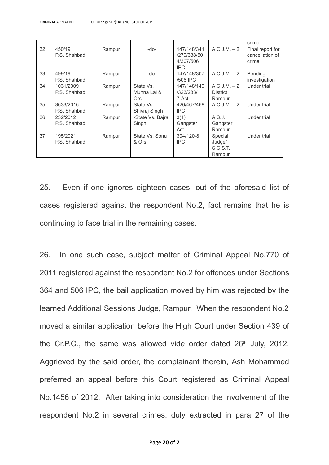|     |              |        |                   |             |                 | crime            |
|-----|--------------|--------|-------------------|-------------|-----------------|------------------|
| 32. | 450/19       | Rampur | $-do-$            | 147/148/341 | A.C.J.M. – 2    | Final report for |
|     | P.S. Shahbad |        |                   | /279/338/50 |                 | cancellation of  |
|     |              |        |                   | 4/307/506   |                 | crime            |
|     |              |        |                   | IPC.        |                 |                  |
| 33. | 499/19       | Rampur | -do-              | 147/148/307 | A.C.J.M. – 2    | Pending          |
|     | P.S. Shahbad |        |                   | /506 IPC    |                 | investigation    |
| 34. | 1031/2009    | Rampur | State Vs.         | 147/148/149 | A.C.J.M. – 2    | Under trial      |
|     | P.S. Shahbad |        | Munna Lal &       | /323/283/   | <b>District</b> |                  |
|     |              |        | Ors.              | 7-Act       | Rampur          |                  |
| 35. | 3633/2016    | Rampur | State Vs.         | 420/467/468 | A.C.J.M. – 2    | Under trial      |
|     | P.S. Shahbad |        | Shivraj Singh     | IPC.        |                 |                  |
| 36. | 232/2012     | Rampur | -State Vs. Bairai | 3(1)        | A.S.J.          | Under trial      |
|     | P.S. Shahbad |        | Singh             | Gangster    | Gangster        |                  |
|     |              |        |                   | Act         | Rampur          |                  |
| 37. | 195/2021     | Rampur | State Vs. Sonu    | 304/120-8   | Special         | Under trial      |
|     | P.S. Shahbad |        | & Ors.            | IPC.        | Judge/          |                  |
|     |              |        |                   |             | S.C.S.T.        |                  |
|     |              |        |                   |             | Rampur          |                  |

25. Even if one ignores eighteen cases, out of the aforesaid list of cases registered against the respondent No.2, fact remains that he is continuing to face trial in the remaining cases.

26. In one such case, subject matter of Criminal Appeal No.770 of 2011 registered against the respondent No.2 for offences under Sections 364 and 506 IPC, the bail application moved by him was rejected by the learned Additional Sessions Judge, Rampur. When the respondent No.2 moved a similar application before the High Court under Section 439 of the Cr.P.C., the same was allowed vide order dated  $26<sup>th</sup>$  July, 2012. Aggrieved by the said order, the complainant therein, Ash Mohammed preferred an appeal before this Court registered as Criminal Appeal No.1456 of 2012. After taking into consideration the involvement of the respondent No.2 in several crimes, duly extracted in para 27 of the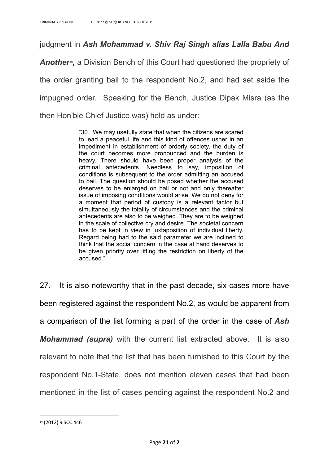judgment in *Ash Mohammad v. Shiv Raj Singh alias Lalla Babu And*

*Another*<sup>9</sup>, a Division Bench of this Court had questioned the propriety of the order granting bail to the respondent No.2, and had set aside the impugned order. Speaking for the Bench, Justice Dipak Misra (as the then Hon'ble Chief Justice was) held as under:

> "30. We may usefully state that when the citizens are scared to lead a peaceful life and this kind of offences usher in an impediment in establishment of orderly society, the duty of the court becomes more pronounced and the burden is heavy. There should have been proper analysis of the criminal antecedents. Needless to say, imposition of conditions is subsequent to the order admitting an accused to bail. The question should be posed whether the accused deserves to be enlarged on bail or not and only thereafter issue of imposing conditions would arise. We do not deny for a moment that period of custody is a relevant factor but simultaneously the totality of circumstances and the criminal antecedents are also to be weighed. They are to be weighed in the scale of collective cry and desire. The societal concern has to be kept in view in juxtaposition of individual liberty. Regard being had to the said parameter we are inclined to think that the social concern in the case at hand deserves to be given priority over lifting the restriction on liberty of the accused."

27. It is also noteworthy that in the past decade, six cases more have been registered against the respondent No.2, as would be apparent from a comparison of the list forming a part of the order in the case of *Ash Mohammad (supra)* with the current list extracted above. It is also relevant to note that the list that has been furnished to this Court by the respondent No.1-State, does not mention eleven cases that had been mentioned in the list of cases pending against the respondent No.2 and

<sup>19</sup> (2012) 9 SCC 446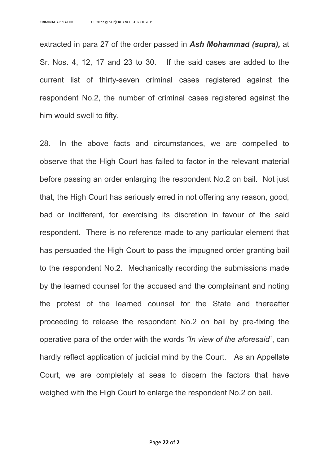extracted in para 27 of the order passed in *Ash Mohammad (supra),* at Sr. Nos. 4, 12, 17 and 23 to 30. If the said cases are added to the current list of thirty-seven criminal cases registered against the respondent No.2, the number of criminal cases registered against the him would swell to fifty.

28. In the above facts and circumstances, we are compelled to observe that the High Court has failed to factor in the relevant material before passing an order enlarging the respondent No.2 on bail. Not just that, the High Court has seriously erred in not offering any reason, good, bad or indifferent, for exercising its discretion in favour of the said respondent. There is no reference made to any particular element that has persuaded the High Court to pass the impugned order granting bail to the respondent No.2. Mechanically recording the submissions made by the learned counsel for the accused and the complainant and noting the protest of the learned counsel for the State and thereafter proceeding to release the respondent No.2 on bail by pre-fixing the operative para of the order with the words *"In view of the aforesaid"*, can hardly reflect application of judicial mind by the Court. As an Appellate Court, we are completely at seas to discern the factors that have weighed with the High Court to enlarge the respondent No.2 on bail.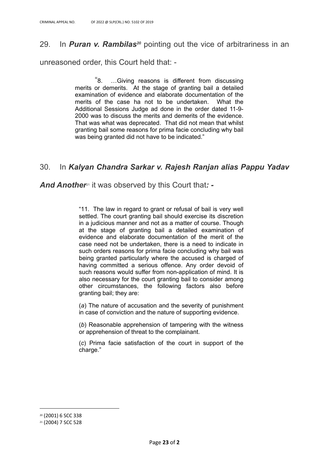## 29. In *Puran v. Rambilas<sup>20</sup>* pointing out the vice of arbitrariness in an

unreasoned order, this Court held that: -

"8. …Giving reasons is different from discussing merits or demerits. At the stage of granting bail a detailed examination of evidence and elaborate documentation of the merits of the case ha not to be undertaken. What the Additional Sessions Judge ad done in the order dated 11-9- 2000 was to discuss the merits and demerits of the evidence. That was what was deprecated. That did not mean that whilst granting bail some reasons for prima facie concluding why bail was being granted did not have to be indicated."

## 30. In *Kalyan Chandra Sarkar v. Rajesh Ranjan alias Pappu Yadav*

#### *And Another*<sup>21</sup> it was observed by this Court that*: -*

"11. The law in regard to grant or refusal of bail is very well settled. The court granting bail should exercise its discretion in a judicious manner and not as a matter of course. Though at the stage of granting bail a detailed examination of evidence and elaborate documentation of the merit of the case need not be undertaken, there is a need to indicate in such orders reasons for prima facie concluding why bail was being granted particularly where the accused is charged of having committed a serious offence. Any order devoid of such reasons would suffer from non-application of mind. It is also necessary for the court granting bail to consider among other circumstances, the following factors also before granting bail; they are:

(*a*) The nature of accusation and the severity of punishment in case of conviction and the nature of supporting evidence.

(*b*) Reasonable apprehension of tampering with the witness or apprehension of threat to the complainant.

(*c*) Prima facie satisfaction of the court in support of the charge."

<sup>20</sup> (2001) 6 SCC 338

<sup>21</sup> (2004) 7 SCC 528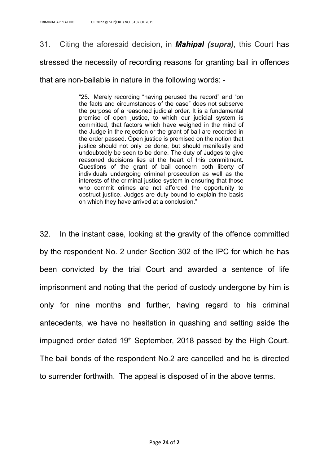31. Citing the aforesaid decision, in *Mahipal (supra)*, this Court has

stressed the necessity of recording reasons for granting bail in offences

that are non-bailable in nature in the following words: -

"25. Merely recording "having perused the record" and "on the facts and circumstances of the case" does not subserve the purpose of a reasoned judicial order. It is a fundamental premise of open justice, to which our judicial system is committed, that factors which have weighed in the mind of the Judge in the rejection or the grant of bail are recorded in the order passed. Open justice is premised on the notion that justice should not only be done, but should manifestly and undoubtedly be seen to be done. The duty of Judges to give reasoned decisions lies at the heart of this commitment. Questions of the grant of bail concern both liberty of individuals undergoing criminal prosecution as well as the interests of the criminal justice system in ensuring that those who commit crimes are not afforded the opportunity to obstruct justice. Judges are duty-bound to explain the basis on which they have arrived at a conclusion."

32. In the instant case, looking at the gravity of the offence committed by the respondent No. 2 under Section 302 of the IPC for which he has been convicted by the trial Court and awarded a sentence of life imprisonment and noting that the period of custody undergone by him is only for nine months and further, having regard to his criminal antecedents, we have no hesitation in quashing and setting aside the impugned order dated  $19<sup>th</sup>$  September, 2018 passed by the High Court. The bail bonds of the respondent No.2 are cancelled and he is directed to surrender forthwith. The appeal is disposed of in the above terms.